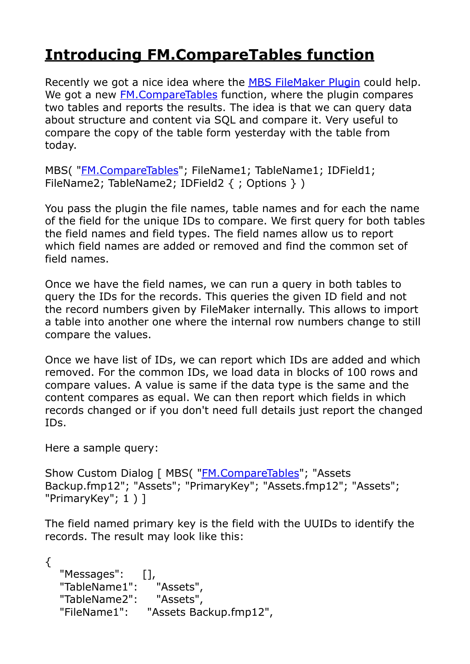## **Introducing FM.CompareTables function**

Recently we got a nice idea where the [MBS FileMaker Plugin](http://monkeybreadsoftware.com/filemaker/) could help. We got a new **FM.CompareTables** function, where the plugin compares two tables and reports the results. The idea is that we can query data about structure and content via SQL and compare it. Very useful to compare the copy of the table form yesterday with the table from today.

MBS( "[FM.CompareTables](http://www.mbsplugins.eu/FMCompareTables.shtml)"; FileName1; TableName1; IDField1; FileName2; TableName2; IDField2 { ; Options } )

You pass the plugin the file names, table names and for each the name of the field for the unique IDs to compare. We first query for both tables the field names and field types. The field names allow us to report which field names are added or removed and find the common set of field names.

Once we have the field names, we can run a query in both tables to query the IDs for the records. This queries the given ID field and not the record numbers given by FileMaker internally. This allows to import a table into another one where the internal row numbers change to still compare the values.

Once we have list of IDs, we can report which IDs are added and which removed. For the common IDs, we load data in blocks of 100 rows and compare values. A value is same if the data type is the same and the content compares as equal. We can then report which fields in which records changed or if you don't need full details just report the changed IDs.

Here a sample query:

Show Custom Dialog [ MBS( ["FM.CompareTables](http://www.mbsplugins.eu/FMCompareTables.shtml)"; "Assets Backup.fmp12"; "Assets"; "PrimaryKey"; "Assets.fmp12"; "Assets"; "PrimaryKey"; 1 ) ]

The field named primary key is the field with the UUIDs to identify the records. The result may look like this:

```
{ 
   "Messages": [], 
   "TableName1": "Assets", 
   "TableName2": "Assets", 
   "FileName1": "Assets Backup.fmp12",
```